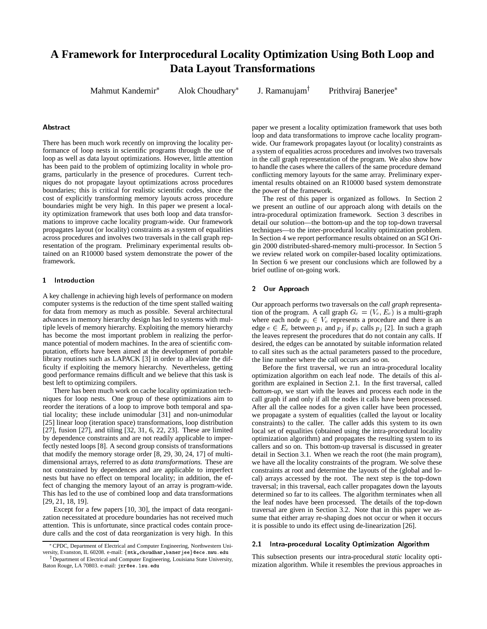# **A Framework for Interprocedural Locality Optimization Using Both Loop and Data Layout Transformations**

Mahmut Kandemir

Alok Choudhary

J. Ramanujam $^{\dagger}$ 

Prithviraj Banerjee

# Abstract

There has been much work recently on improving the locality performance of loop nests in scientific programs through the use of loop as well as data layout optimizations. However, little attention has been paid to the problem of optimizing locality in whole programs, particularly in the presence of procedures. Current techniques do not propagate layout optimizations across procedures boundaries; this is critical for realistic scientific codes, since the cost of explicitly transforming memory layouts across procedure boundaries might be very high. In this paper we present a locality optimization framework that uses both loop and data transformations to improve cache locality program-wide. Our framework propagates layout (or locality) constraints as a system of equalities across procedures and involves two traversals in the call graph representation of the program. Preliminary experimental results obtained on an R10000 based system demonstrate the power of the framework.

### 1 Introduction

A key challenge in achieving high levels of performance on modern computer systems is the reduction of the time spent stalled waiting for data from memory as much as possible. Several architectural advances in memory hierarchy design has led to systems with multiple levels of memory hierarchy. Exploiting the memory hierarchy has become the most important problem in realizing the performance potential of modern machines. In the area of scientific computation, efforts have been aimed at the development of portable library routines such as LAPACK [3] in order to alleviate the difficulty if exploiting the memory hierarchy. Nevertheless, getting good performance remains difficult and we believe that this task is best left to optimizing compilers.

There has been much work on cache locality optimization techniques for loop nests. One group of these optimizations aim to reorder the iterations of a loop to improve both temporal and spatial locality; these include unimodular [31] and non-unimodular [25] linear loop (iteration space) transformations, loop distribution [27], fusion [27], and tiling [32, 31, 6, 22, 23]. These are limited by dependence constraints and are not readily applicable to imperfectly nested loops [8]. A second group consists of transformations that modify the memory storage order [8, 29, 30, 24, 17] of multidimensional arrays, referred to as *data transformations.* These are not constrained by dependences and are applicable to imperfect nests but have no effect on temporal locality; in addition, the effect of changing the memory layout of an array is program-wide. This has led to the use of combined loop and data transformations [29, 21, 18, 19].

Except for a few papers [10, 30], the impact of data reorganization necessitated at procedure boundaries has not received much attention. This is unfortunate, since practical codes contain procedure calls and the cost of data reorganization is very high. In this

paper we present a locality optimization framework that uses both loop and data transformations to improve cache locality programwide. Our framework propagates layout (or locality) constraints as a system of equalities across procedures and involves two traversals in the call graph representation of the program. We also show how to handle the cases where the callers of the same procedure demand conflicting memory layouts for the same array. Preliminary experimental results obtained on an R10000 based system demonstrate the power of the framework.

The rest of this paper is organized as follows. In Section 2 we present an outline of our approach along with details on the intra-procedural optimization framework. Section 3 describes in detail our solution—the bottom-up and the top top-down traversal techniques—to the inter-procedural locality optimization problem. In Section 4 we report performance results obtained on an SGI Origin 2000 distributed-shared-memory multi-processor. In Section 5 we review related work on compiler-based locality optimizations. In Section 6 we present our conclusions which are followed by a brief outline of on-going work.

#### $2<sup>1</sup>$ Our Approach

Our approach performs two traversals on the *call graph* representation of the program. A call graph  $G_c = (V_c, E_c)$  is a multi-graph where each node  $p_i \in V_c$  represents a procedure and there is an edge  $e \in E_c$  between  $p_i$  and  $p_j$  if  $p_i$  calls  $p_j$  [2]. In such a graph the leaves represent the procedures that do not contain any calls. If desired, the edges can be annotated by suitable information related to call sites such as the actual parameters passed to the procedure, the line number where the call occurs and so on.

Before the first traversal, we run an intra-procedural locality optimization algorithm on each leaf node. The details of this algorithm are explained in Section 2.1. In the first traversal, called *bottom-up*, we start with the leaves and process each node in the call graph if and only if all the nodes it calls have been processed. After all the callee nodes for a given caller have been processed, we propagate a system of equalities (called the layout or locality constraints) to the caller. The caller adds this system to its own local set of equalities (obtained using the intra-procedural locality optimization algorithm) and propagates the resulting system to its callers and so on. This bottom-up traversal is discussed in greater detail in Section 3.1. When we reach the root (the main program), we have all the locality constraints of the program. We solve these constraints at root and determine the layouts of the (global and local) arrays accessed by the root. The next step is the top-down traversal; in this traversal, each caller propagates down the layouts determined so far to its callees. The algorithm terminates when all the leaf nodes have been processed. The details of the top-down traversal are given in Section 3.2. Note that in this paper we assume that either array re-shaping does not occur or when it occurs it is possible to undo its effect using de-linearization [26].

# 2.1 Intra-procedural Locality Optimization Algorithm

This subsection presents our intra-procedural *static* locality optimization algorithm. While it resembles the previous approaches in

CPDC, Department of Electrical and Computer Engineering, Northwestern University, Evanston, IL 60208. e-mail: {mtk, choudhar, baner jee}@ece.nwu.edu

<sup>&</sup>lt;sup>†</sup> Department of Electrical and Computer Engineering, Louisiana State University, Baton Rouge, LA 70803. e-mail: jxr@ee.lsu.edu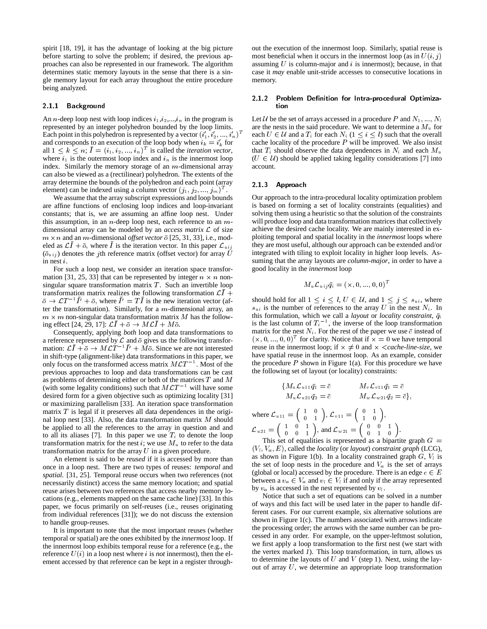spirit [18, 19], it has the advantage of looking at the big picture before starting to solve the problem; if desired, the previous approaches can also be represented in our framework. The algorithm determines static memory layouts in the sense that there is a single memory layout for each array throughout the entire procedure being analyzed.

# 2.1.1 Background

An *n*-deep loop nest with loop indices  $i_1, i_2, \ldots, i_n$  in the program is represented by an integer polyhedron bounded by the loop limits. Each point in this polyhedron is represented by a vector  $(i'_1, i'_2, ..., i'_n)^T$  each and corresponds to an execution of the loop body when  $i_k = i'_k$  for can all  $1 \leq k \leq n; I = (i_1, i_2, ..., i_n)^T$  is called the *iteration vector*, where  $i_1$  is the outermost loop index and  $i_n$  is the innermost loop index. Similarly the memory storage of an  $m$ -dimensional array can also be viewed as a (rectilinear) polyhedron. The extents of the array determine the bounds of the polyhedron and each point (array element) can be indexed using a column vector  $(j_1, j_2, ..., j_m)^T$ .

We assume that the array subscript expressions and loop bounds are affine functions of enclosing loop indices and loop-invariant constants; that is, we are assuming an affine loop nest. Under this assumption, in an *n*-deep loop nest, each reference to an  $m$ dimensional array can be modeled by an *access matrix* L of size  $m \times n$  and an m-dimensional *offset vector*  $\bar{o}$  [25, 31, 33], i.e., modeled as  $\mathcal{L}I + \bar{o}$ , where I is the iteration vector. In this paper  $\mathcal{L}_{uij}$  $(\bar{o}_{uij})$  denotes the jth reference matrix (offset vector) for array U in nest <sup>i</sup>.

For such a loop nest, we consider an iteration space transformation [31, 25, 33] that can be represented by integer  $n \times n$  nonsingular square transformation matrix  $T$ . Such an invertible loop transformation matrix realizes the following transformation  $\mathcal{L}\bar{I}$  +  $\bar{\sigma} \to \mathcal{L}T^{-1}\bar{I'} + \bar{\sigma}$ , where  $\bar{I'} = T\bar{I}$  is the new iteration vector (after the transformation). Similarly, for a  $m$ -dimensional array, an  $m \times m$  non-singular data transformation matrix M has the following effect [24, 29, 17]:  $\mathcal{L}\bar{I}+\bar{\sigma} \rightarrow M\mathcal{L}\bar{I}+M\bar{\sigma}$ .

Consequently, applying *both* loop and data transformations to a reference represented by  ${\mathcal L}$  and  $\bar{o}$  gives us the following transformation:  $\mathcal{L}\bar{I} + \bar{\sigma} \to M\mathcal{L}\bar{T}^{-1}\bar{I'} + \bar{M}\bar{\sigma}$ . Since we are not interested in shift-type (alignment-like) data transformations in this paper, we only focus on the transformed access matrix  $M\mathcal{L}T^{-1}$ . Most of the previous approaches to loop and data transformations can be cast as problems of determining either or both of the matrices  $T$  and  $M$ (with some legality conditions) such that  $M\mathcal{L}T^{-1}$  will have some desired form for a given objective such as optimizing locality [31] or maximizing parallelism [33]. An iteration space transformation matrix  $T$  is legal if it preserves all data dependences in the original loop nest [33]. Also, the data transformation matrix  $M$  should be applied to all the references to the array in question and and to all its aliases [7]. In this paper we use  $T_i$  to denote the loop transformation matrix for the nest i; we use  $M<sub>u</sub>$  to refer to the data transformation matrix for the array  $U$  in a given procedure.

An element is said to be *reused* if it is accessed by more than once in a loop nest. There are two types of reuses: *temporal* and *spatial.* [31, 25]. Temporal reuse occurs when two references (not necessarily distinct) access the same memory location; and spatial reuse arises between two references that access nearby memory locations (e.g., elements mapped on the same cache line) [33]. In this paper, we focus primarily on self-reuses (i.e., reuses originating from individual references [31]); we do not discuss the extension to handle group-reuses.

It is important to note that the most important reuses (whether temporal or spatial) are the ones exhibited by the *innermost* loop. If the innermost loop exhibits temporal reuse for a reference (e.g., the reference  $U(i)$  in a loop nest where i is *not* innermost), then the element accessed by that reference can be kept in a register throughout the execution of the innermost loop. Similarly, spatial reuse is most beneficial when it occurs in the innermost loop (as in  $U(i, j)$ ) assuming  $U$  is column-major and  $i$  is innermost); because, in that case it *may* enable unit-stride accesses to consecutive locations in memory.

#### $212$ Problem Definition for Intra-procedural Optimization

Let U be the set of arrays accessed in a procedure P and  $N_1, ..., N_l$ are the nests in the said procedure. We want to determine a  $M<sub>u</sub>$  for each  $U \in \mathcal{U}$  and a  $T_i$  for each  $N_i$   $(1 \leq i \leq l)$  such that the overall cache locality of the procedure  $P$  will be improved. We also insist that  $T_i$  should observe the data dependences in  $N_i$  and each  $M_u$  $(U \in U)$  should be applied taking legality considerations [7] into account.

### 2.1.3 Approach

Our approach to the intra-procedural locality optimization problem is based on forming a set of locality constraints (equalities) and solving them using a heuristic so that the solution of the constraints will produce loop and data transformation matrices that collectively achieve the desired cache locality. We are mainly interested in exploiting temporal and spatial locality in the *innermost* loops where they are most useful, although our approach can be extended and/or integrated with tiling to exploit locality in higher loop levels. Assuming that the array layouts are *column-major*, in order to have a good locality in the *innermost* loop

$$
M_u\mathcal{L}_{uij}\bar{q}_i=(\,\times,0,...,0,0)^T
$$

should hold for all  $1 \le i \le l, U \in \mathcal{U}$ , and  $1 \le j \le s_{ui}$ , where  $s_{ui}$  is the number of references to the array U in the nest  $N_i$ . In this formulation, which we call a *layout* or *locality constraint*,  $\bar{q}_i$ is the last column of  $T_i^{-1}$ , the inverse of the loop transformation matrix for the nest  $N_i$ . For the rest of the paper we use  $\bar{c}$  instead of  $(x, 0, \ldots, 0, 0)^T$  for clarity. Notice that if  $x = 0$  we have temporal reuse in the innermost loop; if  $x \neq 0$  and  $x <$ *cache-line-size*, we have spatial reuse in the innermost loop. As an example, consider the procedure  $P$  shown in Figure 1(a). For this procedure we have the following set of layout (or locality) constraints:

$$
\{M_u \mathcal{L}_{u11} \bar{q_1} = \bar{c} \qquad \qquad M_v \mathcal{L}_{v11} \bar{q_1} = \bar{c} M_u \mathcal{L}_{u21} \bar{q_2} = \bar{c} \qquad \qquad M_w \mathcal{L}_{w21} \bar{q_2} = \bar{c} \},
$$

where  $\mathcal{L}_{u11} = \begin{pmatrix} 1 & 0 \\ 0 & 1 \end{pmatrix}, \mathcal{L}_{v11} = \begin{pmatrix} 0 & 1 \\ 1 & 0 \end{pmatrix},$  $\mathcal{L}_{u21} = \begin{pmatrix} 1 & 0 & 1 \\ 0 & 0 & 1 \end{pmatrix}$ , and  $\mathcal{L}_{w21} = \begin{pmatrix} 0 & 0 & 1 \\ 0 & 1 & 0 \end{pmatrix}$ .

This set of equalities is represented as a bipartite graph  $G =$  $(V_l, V_a, E)$ , called the *locality* (or *layout*) *constraint graph* (LCG), as shown in Figure 1(b). In a locality constrained graph  $G$ ,  $V<sub>l</sub>$  is the set of loop nests in the procedure and  $V_a$  is the set of arrays (global or local) accessed by the procedure. There is an edge  $e \in E$ between a  $v_a \in V_a$  and  $v_l \in V_l$  if and only if the array represented by  $v_a$  is accessed in the nest represented by  $v_l$ .

Notice that such a set of equations can be solved in a number of ways and this fact will be used later in the paper to handle different cases. For our current example, six alternative solutions are shown in Figure 1(c). The numbers associated with arrows indicate the processing order; the arrows with the same number can be processed in any order. For example, on the upper-leftmost solution, we first apply a loop transformation to the first nest (we start with the vertex marked *1*). This loop transformation, in turn, allows us to determine the layouts of  $U$  and  $V$  (step 1). Next, using the layout of array <sup>U</sup>, we determine an appropriate loop transformation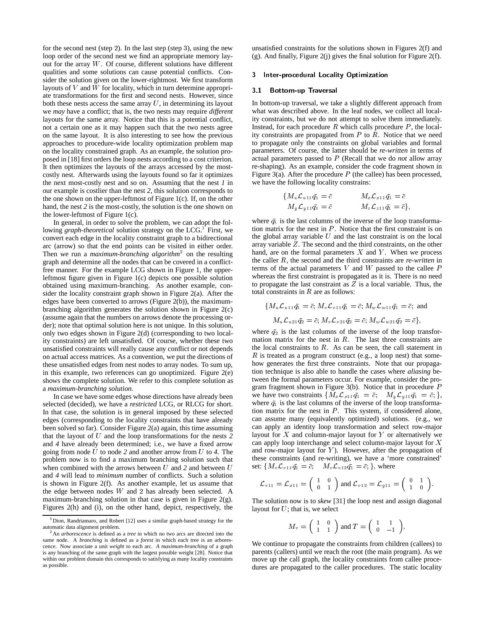for the second nest (step <sup>2</sup>). In the last step (step <sup>3</sup>), using the new loop order of the second nest we find an appropriate memory layout for the array  $W$ . Of course, different solutions have different qualities and some solutions can cause potential conflicts. Consider the solution given on the lower-rightmost. We first transform layouts of  $V$  and  $W$  for locality, which in turn determine appropriate transformations for the first and second nests. However, since both these nests access the same array  $U$ , in determining its layout we *may* have a conflict; that is, the two nests may require *different* layouts for the same array. Notice that this is a potential conflict, not a certain one as it may happen such that the two nests agree on the same layout. It is also interesting to see how the previous approaches to procedure-wide locality optimization problem map on the locality constrained graph. As an example, the solution proposed in [18] first orders the loop nests according to a cost criterion. It then optimizes the layouts of the arrays accessed by the mostcostly nest. Afterwards using the layouts found so far it optimizes the next most-costly nest and so on. Assuming that the nest *1* in our example is costlier than the nest *2*, this solution corresponds to the one shown on the upper-leftmost of Figure 1(c). If, on the other hand, the nest *2* is the most-costly, the solution is the one shown on the lower-leftmost of Figure 1(c).

In general, in order to solve the problem, we can adopt the following *graph-theoretical* solution strategy on the LCG.<sup>1</sup> First, we convert each edge in the locality constraint graph to a bidirectional arc (arrow) so that the end points can be visited in either order. Then we run a *maximum-branching algorithm*<sup>2</sup> on the resulting graph and determine all the nodes that can be covered in a conflictfree manner. For the example LCG shown in Figure 1, the upperleftmost figure given in Figure 1(c) depicts one possible solution obtained using maximum-branching. As another example, consider the locality constraint graph shown in Figure 2(a). After the edges have been converted to arrows (Figure 2(b)), the maximumbranching algorithm generates the solution shown in Figure 2(c) (assume again that the numbers on arrows denote the processing order); note that optimal solution here is not unique. In this solution, only two edges shown in Figure 2(d) (corresponding to two locality constraints) are left unsatisfied. Of course, whether these two unsatisfied constraints will really cause any conflict or not depends on actual access matrices. As a convention, we put the directions of these unsatisfied edges from nest nodes to array nodes. To sum up, in this example, two references can go unoptimized. Figure 2(e) shows the complete solution. We refer to this complete solution as a *maximum-branching solution*.

In case we have some edges whose directions have already been selected (decided), we have a *restricted* LCG, or RLCG for short. In that case, the solution is in general imposed by these selected edges (corresponding to the locality constraints that have already been solved so far). Consider Figure 2(a) again, this time assuming that the layout of <sup>U</sup> and the loop transformations for the nests *2* and *4* have already been determined; i.e., we have a fixed arrow going from node <sup>U</sup> to node *2* and another arrow from <sup>U</sup> to *4*. The problem now is to find a maximum branching solution such that when combined with the arrows between  $U$  and  $2$  and between  $U$ and *4* will lead to *minimum* number of conflicts. Such a solution is shown in Figure 2(f). As another example, let us assume that the edge between nodes <sup>W</sup> and <sup>2</sup> has already been selected. A maximum-branching solution in that case is given in Figure  $2(g)$ . Figures 2(h) and (i), on the other hand, depict, respectively, the unsatisfied constraints for the solutions shown in Figures 2(f) and (g). And finally, Figure 2(j) gives the final solution for Figure 2(f).

# 3 Inter-procedural Locality Optimization

#### Bottom-up Traversal  $3.1$

In bottom-up traversal, we take a slightly different approach from what was described above. In the leaf nodes, we collect all locality constraints, but we do not attempt to solve them immediately. Instead, for each procedure  $R$  which calls procedure  $P$ , the locality constraints are propagated from  $P$  to  $\overline{R}$ . Notice that we need to propagate only the constraints on global variables and formal parameters. Of course, the latter should be *re-written* in terms of actual parameters passed to <sup>P</sup> (Recall that we do *not* allow array re-shaping). As an example, consider the code fragment shown in Figure  $3(a)$ . After the procedure P (the callee) has been processed, we have the following locality constrains:

$$
\{M_u \mathcal{L}_{u11} \bar{q}_1 = \bar{c} \qquad M_x \mathcal{L}_{x11} \bar{q}_1 = \bar{c} M_y \mathcal{L}_{y11} \bar{q}_1 = \bar{c} \qquad M_z \mathcal{L}_{z11} \bar{q}_1 = \bar{c} \},
$$

where  $\bar{q}_1$  is the last columns of the inverse of the loop transformation matrix for the nest in  $P$ . Notice that the first constraint is on the global array variable  $U$  and the last constraint is on the local array variable <sup>Z</sup>. The second and the third constraints, on the other hand, are on the formal parameters  $X$  and  $Y$ . When we process the caller <sup>R</sup>, the second and the third constraints are *re-written* in terms of the actual parameters  $V$  and  $W$  passed to the callee  $P$ whereas the first constraint is propagated as it is. There is no need to propagate the last constraint as  $Z$  is a local variable. Thus, the total constraints in  $R$  are as follows:

$$
\{M_u \mathcal{L}_{u11} \bar{q_1} = \bar{c}; M_v \mathcal{L}_{v11} \bar{q_1} = \bar{c}; M_w \mathcal{L}_{w11} \bar{q_1} = \bar{c}; \text{ and}
$$
  

$$
M_u \mathcal{L}_{u21} \bar{q_2} = \bar{c}; M_v \mathcal{L}_{v21} \bar{q_2} = \bar{c}; M_w \mathcal{L}_{w21} \bar{q_2} = \bar{c};
$$

where  $\bar{q}_2$  is the last columns of the inverse of the loop transformation matrix for the nest in  $R$ . The last three constraints are the local constraints to  $R$ . As can be seen, the call statement in  $R$  is treated as a program construct (e.g., a loop nest) that somehow generates the first three constraints. Note that our propagation technique is also able to handle the cases where *aliasing* between the formal parameters occur. For example, consider the program fragment shown in Figure 3(b). Notice that in procedure <sup>P</sup> we have two constraints  $\{M_x \mathcal{L}_{x11} \bar{q}_1 = \bar{c}; \quad M_y \mathcal{L}_{y11} \bar{q}_1 = \bar{c}; \}$ , where  $\bar{q}_1$  is the last columns of the inverse of the loop transformation matrix for the nest in  $P$ . This system, if considered alone, can assume many (equivalently optimized) solutions. (e.g., we can apply an identity loop transformation and select row-major layout for  $X$  and column-major layout for  $Y$  or alternatively we can apply loop interchange and select column-major layout for <sup>X</sup> and row-major layout for  $Y$ ). However, after the propagation of these constraints (and re-writing), we have a 'more constrained' set:  $\{M_v \mathcal{L}_{v11} \bar{q}_1 = \bar{c}; \quad M_v \mathcal{L}_{v12} \bar{q}_1 = \bar{c}; \}$ , where

$$
\mathcal{L}_{v11}=\mathcal{L}_{x11}=\left(\begin{array}{cc}1&0\\0&1\end{array}\right) \text{ and } \mathcal{L}_{v12}=\mathcal{L}_{y11}=\left(\begin{array}{cc}0&1\\1&0\end{array}\right).
$$

The solution now is to *skew* [31] the loop nest and assign diagonal layout for  $U$ ; that is, we select

$$
M_v = \left(\begin{array}{cc} 1 & 0 \\ 1 & 1 \end{array}\right) \text{ and } T = \left(\begin{array}{cc} 1 & 1 \\ 0 & -1 \end{array}\right).
$$

We continue to propagate the constraints from children (callees) to parents (callers) until we reach the root (the main program). As we move up the call graph, the locality constraints from callee procedures are propagated to the caller procedures. The static locality

<sup>&</sup>lt;sup>1</sup> Dion, Randriamaro, and Robert [12] uses a similar graph-based strategy for the automatic data alignment problem.

<sup>2</sup> An *arborescence* is defined as a *tree* in which no two arcs are directed into the same node. A *branching* is defined as a *forest* in which each tree is an arborescence. Now associate a unit *weight* to each arc. *A maximum-branching* of a graph is any branching of the same graph with the largest possible weight [28]. Notice that within our problem domain this corresponds to satisfying as many locality constraints as possible.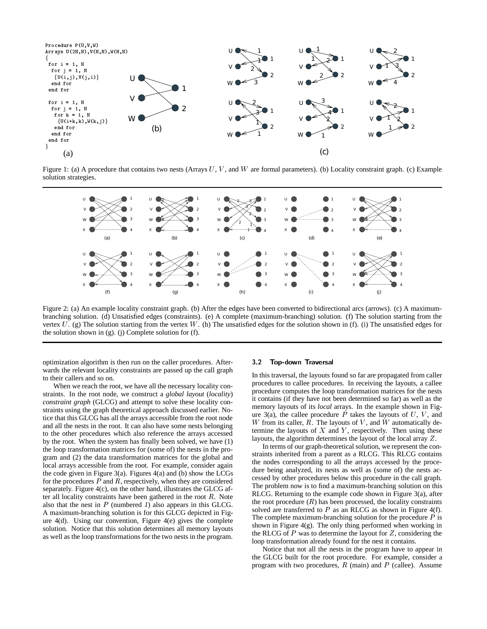

Figure 1: (a) A procedure that contains two nests (Arrays  $U, V$ , and W are formal parameters). (b) Locality constraint graph. (c) Example solution strategies.



Figure 2: (a) An example locality constraint graph. (b) After the edges have been converted to bidirectional arcs (arrows). (c) A maximumbranching solution. (d) Unsatisfied edges (constraints). (e) A complete (maximum-branching) solution. (f) The solution starting from the vertex U. (g) The solution starting from the vertex W. (h) The unsatisfied edges for the solution shown in (f). (i) The unsatisfied edges for the solution shown in (g). (j) Complete solution for (f).

optimization algorithm is then run on the caller procedures. Afterwards the relevant locality constraints are passed up the call graph to their callers and so on.

When we reach the root, we have all the necessary locality constraints. In the root node, we construct a *global layout* (*locality*) *constraint graph* (GLCG) and attempt to solve these locality constraints using the graph theoretical approach discussed earlier. Notice that this GLCG has all the arrays accessible from the root node and all the nests in the root. It can also have some nests belonging to the other procedures which also reference the arrays accessed by the root. When the system has finally been solved, we have (1) the loop transformation matrices for (some of) the nests in the program and (2) the data transformation matrices for the global and local arrays accessible from the root. For example, consider again the code given in Figure  $3(a)$ . Figures  $4(a)$  and (b) show the LCGs for the procedures  $P$  and  $R$ , respectively, when they are considered separately. Figure 4(c), on the other hand, illustrates the GLCG after all locality constraints have been gathered in the root  $R$ . Note also that the nest in <sup>P</sup> (numbered *1*) also appears in this GLCG. A maximum-branching solution is for this GLCG depicted in Figure 4(d). Using our convention, Figure 4(e) gives the complete solution. Notice that this solution determines all memory layouts as well as the loop transformations for the two nests in the program.

### 3.2 Top-down Traversal

In this traversal, the layouts found so far are propagated from caller procedures to callee procedures. In receiving the layouts, a callee procedure computes the loop transformation matrices for the nests it contains (if they have not been determined so far) as well as the memory layouts of its *local* arrays. In the example shown in Figure 3(a), the callee procedure  $P$  takes the layouts of  $U, V$ , and W from its caller,  $R$ . The layouts of  $V$ , and  $W$  automatically determine the layouts of  $X$  and  $Y$ , respectively. Then using these layouts, the algorithm determines the layout of the local array <sup>Z</sup>.

In terms of our graph-theoretical solution, we represent the constraints inherited from a parent as a RLCG. This RLCG contains the nodes corresponding to all the arrays accessed by the procedure being analyzed, its nests as well as (some of) the nests accessed by other procedures below this procedure in the call graph. The problem now is to find a maximum-branching solution on this RLCG. Returning to the example code shown in Figure 3(a), after the root procedure  $(R)$  has been processed, the locality constraints solved are transferred to  $P$  as an RLCG as shown in Figure 4(f). The complete maximum-branching solution for the procedure  $P$  is shown in Figure 4(g). The only thing performed when working in the RLCG of  $P$  was to determine the layout for  $Z$ , considering the loop transformation already found for the nest it contains.

Notice that not all the nests in the program have to appear in the GLCG built for the root procedure. For example, consider a program with two procedures,  $R$  (main) and  $P$  (callee). Assume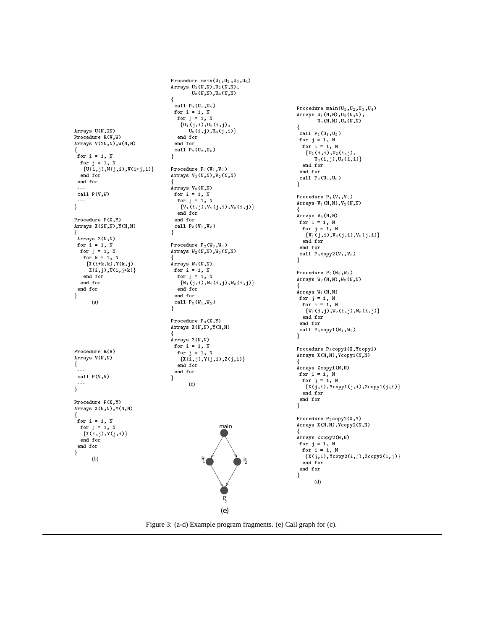

Figure 3: (a-d) Example program fragments. (e) Call graph for (c).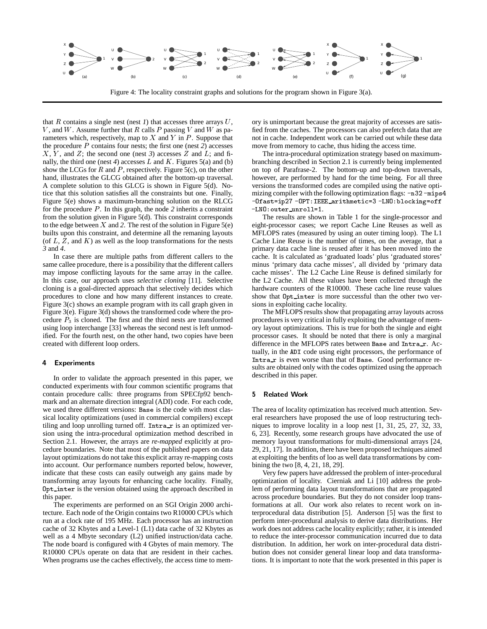

Figure 4: The locality constraint graphs and solutions for the program shown in Figure 3(a).

that  $R$  contains a single nest (nest  $I$ ) that accesses three arrays  $U$ , V, and W. Assume further that R calls P passing V and W as parameters which, respectively, map to  $X$  and  $Y$  in  $P$ . Suppose that the procedure <sup>P</sup> contains four nests; the first one (nest *2*) accesses  $X, Y$ , and  $Z$ ; the second one (nest 3) accesses  $Z$  and  $L$ ; and finally, the third one (nest 4) accesses  $L$  and  $K$ . Figures  $5(a)$  and (b) show the LCGs for R and P, respectively. Figure  $5(c)$ , on the other hand, illustrates the GLCG obtained after the bottom-up traversal. A complete solution to this GLCG is shown in Figure 5(d). Notice that this solution satisfies all the constraints but one. Finally, Figure 5(e) shows a maximum-branching solution on the RLCG for the procedure  $P$ . In this graph, the node  $2$  inherits a constraint from the solution given in Figure 5(d). This constraint corresponds to the edge between  $X$  and 2. The rest of the solution in Figure 5(e) builts upon this constraint, and determine all the remaning layouts (of  $L, Z$ , and  $K$ ) as well as the loop transformations for the nests *3* and *4*.

In case there are multiple paths from different callers to the same callee procedure, there is a possibility that the different callers may impose conflicting layouts for the same array in the callee. In this case, our approach uses *selective cloning* [11]. Selective cloning is a goal-directed approach that selectively decides which procedures to clone and how many different instances to create. Figure 3(c) shows an example program with its call graph given in Figure 3(e). Figure 3(d) shows the transformed code where the procedure  $P_3$  is cloned. The first and the third nests are transformed using loop interchange [33] whereas the second nest is left unmodified. For the fourth nest, on the other hand, two copies have been created with different loop orders.

#### 4 **Experiments**

In order to validate the approach presented in this paper, we conducted experiments with four common scientific programs that contain procedure calls: three programs from SPECfp92 benchmark and an alternate direction integral (ADI) code. For each code, we used three different versions: Base is the code with most classical locality optimizations (used in commercial compilers) except tiling and loop unrolling turned off. Intra<sub>risan</sub> is an optimized version using the intra-procedural optimization method described in Section 2.1. However, the arrays are *re-mapped* explicitly at procedure boundaries. Note that most of the published papers on data layout optimizations do not take this explicit array re-mapping costs into account. Our performance numbers reported below, however, indicate that these costs can easily outweigh any gains made by transforming array layouts for enhancing cache locality. Finally, Opt inter is the version obtained using the approach described in this paper.

The experiments are performed on an SGI Origin 2000 architecture. Each node of the Origin contains two R10000 CPUs which run at a clock rate of 195 MHz. Each processor has an instruction cache of 32 Kbytes and a Level-1 (L1) data cache of 32 Kbytes as well as a 4 Mbyte secondary (L2) unified instruction/data cache. The node board is configured with 4 Gbytes of main memory. The R10000 CPUs operate on data that are resident in their caches. When programs use the caches effectively, the access time to memory is unimportant because the great majority of accesses are satisfied from the caches. The processors can also prefetch data that are not in cache. Independent work can be carried out while these data move from memory to cache, thus hiding the access time.

The intra-procedural optimization strategy based on maximumbranching described in Section 2.1 is currently being implemented on top of Parafrase-2. The bottom-up and top-down traversals, however, are performed by hand for the time being. For all three versions the transformed codes are compiled using the native optimizing compiler with the following optimization flags: -n32 -mips4 -Ofast=ip27 -OPT:IEEE arithmetic=3 -LNO:blocking=off -LNO:outer unroll=1.

The results are shown in Table 1 for the single-processor and eight-processor cases; we report Cache Line Reuses as well as MFLOPS rates (measured by using an outer timing loop). The L1 Cache Line Reuse is the number of times, on the average, that a primary data cache line is reused after it has been moved into the cache. It is calculated as 'graduated loads' plus 'graduated stores' minus 'primary data cache misses', all divided by 'primary data cache misses'. The L2 Cache Line Reuse is defined similarly for the L2 Cache. All these values have been collected through the hardware counters of the R10000. These cache line reuse values show that Opt\_inter is more successful than the other two versions in exploiting cache locality.

The MFLOPS results show that propagating array layouts across procedures is very critical in fully exploiting the advantage of memory layout optimizations. This is true for both the single and eight processor cases. It should be noted that there is only a marginal difference in the MFLOPS rates between Base and Intra\_r. Actually, in the ADI code using eight processors, the performance of Intra $\mathbf r$  is even worse than that of Base. Good performance results are obtained only with the codes optimized using the approach described in this paper.

#### 5 Related Work  $\overline{5}$

The area of locality optimization has received much attention. Several researchers have proposed the use of loop restructuring techniques to improve locality in a loop nest [1, 31, 25, 27, 32, 33, 6, 23]. Recently, some research groups have advocated the use of memory layout transformations for multi-dimensional arrays [24, 29, 21, 17]. In addition, there have been proposed techniques aimed at exploiting the benfits of loo as well data transformations by combining the two [8, 4, 21, 18, 29].

Very few papers have addressed the problem of inter-procedural optimization of locality. Cierniak and Li [10] address the problem of performing data layout transformations that are propagated across procedure boundaries. But they do not consider loop transformations at all. Our work also relates to recent work on interprocedural data distribution [5]. Anderson [5] was the first to perform inter-procedural analysis to derive data distributions. Her work does not address cache locality explicitly; rather, it is intended to reduce the inter-processor communication incurred due to data distribution. In addition, her work on inter-procedural data distribution does not consider general linear loop and data transformations. It is important to note that the work presented in this paper is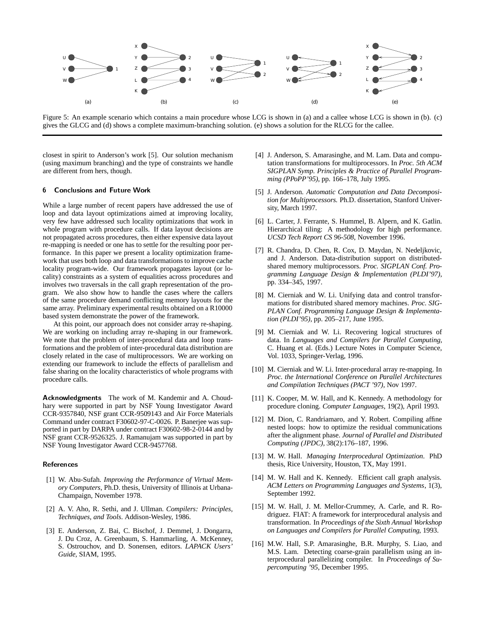

Figure 5: An example scenario which contains a main procedure whose LCG is shown in (a) and a callee whose LCG is shown in (b). (c) gives the GLCG and (d) shows a complete maximum-branching solution. (e) shows a solution for the RLCG for the callee.

closest in spirit to Anderson's work [5]. Our solution mechanism (using maximum branching) and the type of constraints we handle are different from hers, though.

#### 6. 6 Conclusions and Future Work

While a large number of recent papers have addressed the use of loop and data layout optimizations aimed at improving locality, very few have addressed such locality optimizations that work in whole program with procedure calls. If data layout decisions are not propagated across procedures, then either expensive data layout re-mapping is needed or one has to settle for the resulting poor performance. In this paper we present a locality optimization framework that uses both loop and data transformations to improve cache locality program-wide. Our framework propagates layout (or locality) constraints as a system of equalities across procedures and involves two traversals in the call graph representation of the program. We also show how to handle the cases where the callers of the same procedure demand conflicting memory layouts for the same array. Preliminary experimental results obtained on a R10000 based system demonstrate the power of the framework.

At this point, our approach does not consider array re-shaping. We are working on including array re-shaping in our framework. We note that the problem of inter-procedural data and loop transformations and the problem of inter-procedural data distribution are closely related in the case of multiprocessors. We are working on extending our framework to include the effects of parallelism and false sharing on the locality characteristics of whole programs with procedure calls.

Acknowledgments The work of M. Kandemir and A. Choudhary were supported in part by NSF Young Investigator Award CCR-9357840, NSF grant CCR-9509143 and Air Force Materials Command under contract F30602-97-C-0026. P. Banerjee was supported in part by DARPA under contract F30602-98-2-0144 and by NSF grant CCR-9526325. J. Ramanujam was supported in part by NSF Young Investigator Award CCR-9457768.

### References

- [1] W. Abu-Sufah. *Improving the Performance of Virtual Memory Computers*, Ph.D. thesis, University of Illinois at Urbana-Champaign, November 1978.
- [2] A. V. Aho, R. Sethi, and J. Ullman. *Compilers: Principles, Techniques, and Tools*. Addison-Wesley, 1986.
- [3] E. Anderson, Z. Bai, C. Bischof, J. Demmel, J. Dongarra, J. Du Croz, A. Greenbaum, S. Hammarling, A. McKenney, S. Ostrouchov, and D. Sonensen, editors. *LAPACK Users' Guide,* SIAM, 1995.
- [4] J. Anderson, S. Amarasinghe, and M. Lam. Data and computation transformations for multiprocessors. In *Proc. 5th ACM SIGPLAN Symp. Principles & Practice of Parallel Programming (PPoPP'95)*, pp. 166–178, July 1995.
- [5] J. Anderson. *Automatic Computation and Data Decomposition for Multiprocessors.* Ph.D. dissertation, Stanford University, March 1997.
- [6] L. Carter, J. Ferrante, S. Hummel, B. Alpern, and K. Gatlin. Hierarchical tiling: A methodology for high performance. *UCSD Tech Report CS 96-508*, November 1996.
- [7] R. Chandra, D. Chen, R. Cox, D. Maydan, N. Nedeljkovic, and J. Anderson. Data-distribution support on distributedshared memory multiprocessors. *Proc. SIGPLAN Conf. Programming Language Design & Implementation (PLDI'97)*, pp. 334–345, 1997.
- [8] M. Cierniak and W. Li. Unifying data and control transformations for distributed shared memory machines. *Proc. SIG-PLAN Conf. Programming Language Design & Implementation (PLDI'95)*, pp. 205–217, June 1995.
- [9] M. Cierniak and W. Li. Recovering logical structures of data. In *Languages and Compilers for Parallel Computing,* C. Huang et al. (Eds.) Lecture Notes in Computer Science, Vol. 1033, Springer-Verlag, 1996.
- [10] M. Cierniak and W. Li. Inter-procedural array re-mapping. In *Proc. the International Conference on Parallel Architectures and Compilation Techniques (PACT '97),* Nov 1997.
- [11] K. Cooper, M. W. Hall, and K. Kennedy. A methodology for procedure cloning. *Computer Languages*, 19(2), April 1993.
- [12] M. Dion, C. Randriamaro, and Y. Robert. Compiling affine nested loops: how to optimize the residual communications after the alignment phase. *Journal of Parallel and Distributed Computing (JPDC),* 38(2):176–187, 1996.
- [13] M. W. Hall. *Managing Interprocedural Optimization*. PhD thesis, Rice University, Houston, TX, May 1991.
- [14] M. W. Hall and K. Kennedy. Efficient call graph analysis. *ACM Letters on Programming Languages and Systems*, 1(3), September 1992.
- [15] M. W. Hall, J. M. Mellor-Crummey, A. Carle, and R. Rodriguez. FIAT: A framework for interprocedural analysis and transformation. In *Proceedings of the Sixth Annual Workshop on Languages and Compilers for Parallel Computing*, 1993.
- [16] M.W. Hall, S.P. Amarasinghe, B.R. Murphy, S. Liao, and M.S. Lam. Detecting coarse-grain parallelism using an interprocedural parallelizing compiler. In *Proceedings of Supercomputing '95*, December 1995.